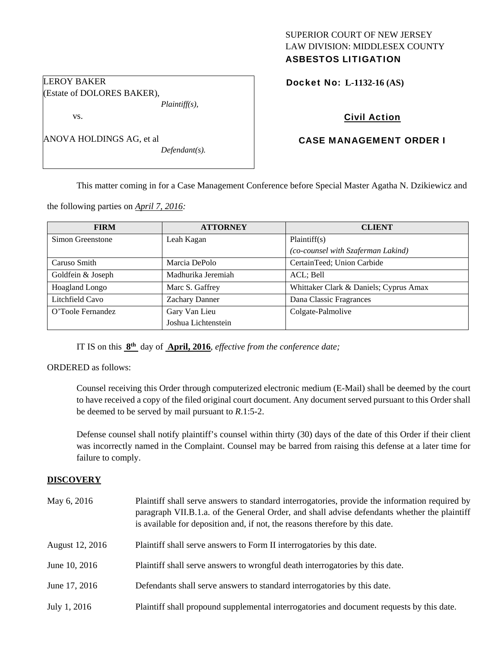# SUPERIOR COURT OF NEW JERSEY LAW DIVISION: MIDDLESEX COUNTY ASBESTOS LITIGATION

|  | <b>Docket No: L-1132-16 (AS)</b> |
|--|----------------------------------|
|--|----------------------------------|

# Civil Action

# CASE MANAGEMENT ORDER I

ANOVA HOLDINGS AG, et al

LEROY BAKER

vs.

(Estate of DOLORES BAKER),

*Defendant(s).* 

*Plaintiff(s),* 

This matter coming in for a Case Management Conference before Special Master Agatha N. Dzikiewicz and

the following parties on *April 7, 2016:* 

| <b>FIRM</b>       | <b>ATTORNEY</b>     | <b>CLIENT</b>                          |
|-------------------|---------------------|----------------------------------------|
| Simon Greenstone  | Leah Kagan          | Plaintiff(s)                           |
|                   |                     | (co-counsel with Szaferman Lakind)     |
| Caruso Smith      | Marcia DePolo       | CertainTeed; Union Carbide             |
| Goldfein & Joseph | Madhurika Jeremiah  | ACL; Bell                              |
| Hoagland Longo    | Marc S. Gaffrey     | Whittaker Clark & Daniels; Cyprus Amax |
| Litchfield Cavo   | Zachary Danner      | Dana Classic Fragrances                |
| O'Toole Fernandez | Gary Van Lieu       | Colgate-Palmolive                      |
|                   | Joshua Lichtenstein |                                        |

IT IS on this **8th** day of **April, 2016**, *effective from the conference date;*

ORDERED as follows:

Counsel receiving this Order through computerized electronic medium (E-Mail) shall be deemed by the court to have received a copy of the filed original court document. Any document served pursuant to this Order shall be deemed to be served by mail pursuant to *R*.1:5-2.

Defense counsel shall notify plaintiff's counsel within thirty (30) days of the date of this Order if their client was incorrectly named in the Complaint. Counsel may be barred from raising this defense at a later time for failure to comply.

### **DISCOVERY**

| May 6, 2016     | Plaintiff shall serve answers to standard interrogatories, provide the information required by<br>paragraph VII.B.1.a. of the General Order, and shall advise defendants whether the plaintiff<br>is available for deposition and, if not, the reasons therefore by this date. |
|-----------------|--------------------------------------------------------------------------------------------------------------------------------------------------------------------------------------------------------------------------------------------------------------------------------|
| August 12, 2016 | Plaintiff shall serve answers to Form II interrogatories by this date.                                                                                                                                                                                                         |
| June 10, 2016   | Plaintiff shall serve answers to wrongful death interrogatories by this date.                                                                                                                                                                                                  |
| June 17, 2016   | Defendants shall serve answers to standard interrogatories by this date.                                                                                                                                                                                                       |
| July 1, 2016    | Plaintiff shall propound supplemental interrogatories and document requests by this date.                                                                                                                                                                                      |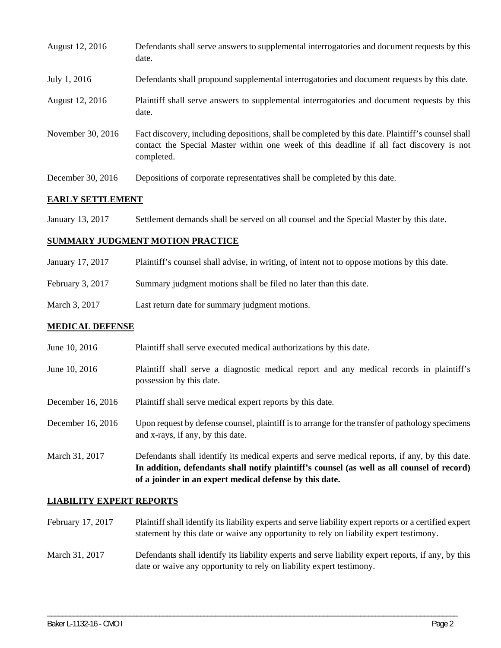| August 12, 2016   | Defendants shall serve answers to supplemental interrogatories and document requests by this<br>date.                                                                                                       |
|-------------------|-------------------------------------------------------------------------------------------------------------------------------------------------------------------------------------------------------------|
| July 1, 2016      | Defendants shall propound supplemental interrogatories and document requests by this date.                                                                                                                  |
| August 12, 2016   | Plaintiff shall serve answers to supplemental interrogatories and document requests by this<br>date.                                                                                                        |
| November 30, 2016 | Fact discovery, including depositions, shall be completed by this date. Plaintiff's counsel shall<br>contact the Special Master within one week of this deadline if all fact discovery is not<br>completed. |
| December 30, 2016 | Depositions of corporate representatives shall be completed by this date.                                                                                                                                   |

### **EARLY SETTLEMENT**

January 13, 2017 Settlement demands shall be served on all counsel and the Special Master by this date.

#### **SUMMARY JUDGMENT MOTION PRACTICE**

- January 17, 2017 Plaintiff's counsel shall advise, in writing, of intent not to oppose motions by this date.
- February 3, 2017 Summary judgment motions shall be filed no later than this date.
- March 3, 2017 Last return date for summary judgment motions.

#### **MEDICAL DEFENSE**

- June 10, 2016 Plaintiff shall serve executed medical authorizations by this date.
- June 10, 2016 Plaintiff shall serve a diagnostic medical report and any medical records in plaintiff's possession by this date.
- December 16, 2016 Plaintiff shall serve medical expert reports by this date.
- December 16, 2016 Upon request by defense counsel, plaintiff is to arrange for the transfer of pathology specimens and x-rays, if any, by this date.
- March 31, 2017 Defendants shall identify its medical experts and serve medical reports, if any, by this date. **In addition, defendants shall notify plaintiff's counsel (as well as all counsel of record) of a joinder in an expert medical defense by this date.**

#### **LIABILITY EXPERT REPORTS**

February 17, 2017 Plaintiff shall identify its liability experts and serve liability expert reports or a certified expert statement by this date or waive any opportunity to rely on liability expert testimony.

# March 31, 2017 Defendants shall identify its liability experts and serve liability expert reports, if any, by this date or waive any opportunity to rely on liability expert testimony.

\_\_\_\_\_\_\_\_\_\_\_\_\_\_\_\_\_\_\_\_\_\_\_\_\_\_\_\_\_\_\_\_\_\_\_\_\_\_\_\_\_\_\_\_\_\_\_\_\_\_\_\_\_\_\_\_\_\_\_\_\_\_\_\_\_\_\_\_\_\_\_\_\_\_\_\_\_\_\_\_\_\_\_\_\_\_\_\_\_\_\_\_\_\_\_\_\_\_\_\_\_\_\_\_\_\_\_\_\_\_